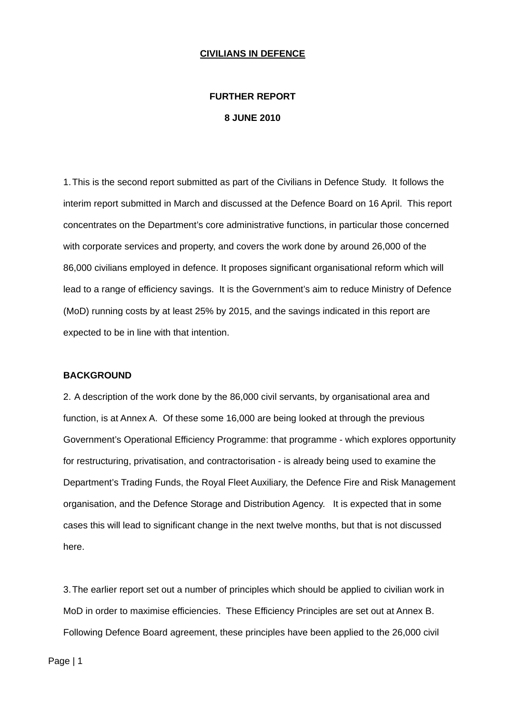#### **CIVILIANS IN DEFENCE**

# **FURTHER REPORT 8 JUNE 2010**

1. This is the second report submitted as part of the Civilians in Defence Study. It follows the interim report submitted in March and discussed at the Defence Board on 16 April. This report concentrates on the Department's core administrative functions, in particular those concerned with corporate services and property, and covers the work done by around 26,000 of the 86,000 civilians employed in defence. It proposes significant organisational reform which will lead to a range of efficiency savings. It is the Government's aim to reduce Ministry of Defence (MoD) running costs by at least 25% by 2015, and the savings indicated in this report are expected to be in line with that intention.

#### **BACKGROUND**

2. A description of the work done by the 86,000 civil servants, by organisational area and function, is at Annex A. Of these some 16,000 are being looked at through the previous Government's Operational Efficiency Programme: that programme - which explores opportunity for restructuring, privatisation, and contractorisation - is already being used to examine the Department's Trading Funds, the Royal Fleet Auxiliary, the Defence Fire and Risk Management organisation, and the Defence Storage and Distribution Agency. It is expected that in some cases this will lead to significant change in the next twelve months, but that is not discussed here.

3. The earlier report set out a number of principles which should be applied to civilian work in MoD in order to maximise efficiencies. These Efficiency Principles are set out at Annex B. Following Defence Board agreement, these principles have been applied to the 26,000 civil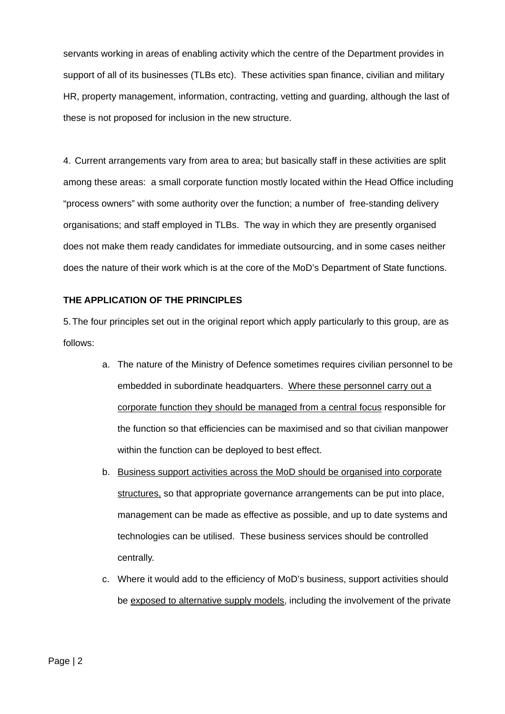servants working in areas of enabling activity which the centre of the Department provides in support of all of its businesses (TLBs etc). These activities span finance, civilian and military HR, property management, information, contracting, vetting and guarding, although the last of these is not proposed for inclusion in the new structure.

4. Current arrangements vary from area to area; but basically staff in these activities are split among these areas: a small corporate function mostly located within the Head Office including "process owners" with some authority over the function; a number of free-standing delivery organisations; and staff employed in TLBs. The way in which they are presently organised does not make them ready candidates for immediate outsourcing, and in some cases neither does the nature of their work which is at the core of the MoD's Department of State functions.

### **THE APPLICATION OF THE PRINCIPLES**

5. The four principles set out in the original report which apply particularly to this group, are as follows:

- a. The nature of the Ministry of Defence sometimes requires civilian personnel to be embedded in subordinate headquarters. Where these personnel carry out a corporate function they should be managed from a central focus responsible for the function so that efficiencies can be maximised and so that civilian manpower within the function can be deployed to best effect.
- b. Business support activities across the MoD should be organised into corporate structures, so that appropriate governance arrangements can be put into place, management can be made as effective as possible, and up to date systems and technologies can be utilised. These business services should be controlled centrally.
- c. Where it would add to the efficiency of MoD's business, support activities should be exposed to alternative supply models, including the involvement of the private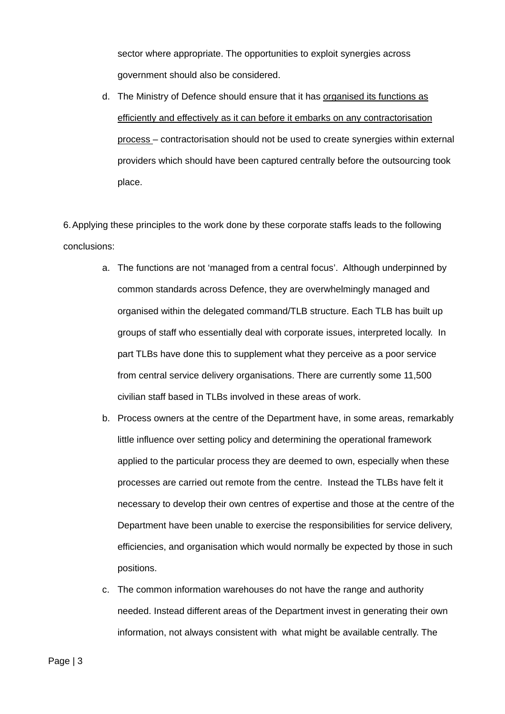sector where appropriate. The opportunities to exploit synergies across government should also be considered.

d. The Ministry of Defence should ensure that it has organised its functions as efficiently and effectively as it can before it embarks on any contractorisation process – contractorisation should not be used to create synergies within external providers which should have been captured centrally before the outsourcing took place.

6. Applying these principles to the work done by these corporate staffs leads to the following conclusions:

- a. The functions are not 'managed from a central focus'. Although underpinned by common standards across Defence, they are overwhelmingly managed and organised within the delegated command/TLB structure. Each TLB has built up groups of staff who essentially deal with corporate issues, interpreted locally. In part TLBs have done this to supplement what they perceive as a poor service from central service delivery organisations. There are currently some 11,500 civilian staff based in TLBs involved in these areas of work.
- b. Process owners at the centre of the Department have, in some areas, remarkably little influence over setting policy and determining the operational framework applied to the particular process they are deemed to own, especially when these processes are carried out remote from the centre. Instead the TLBs have felt it necessary to develop their own centres of expertise and those at the centre of the Department have been unable to exercise the responsibilities for service delivery, efficiencies, and organisation which would normally be expected by those in such positions.
- c. The common information warehouses do not have the range and authority needed. Instead different areas of the Department invest in generating their own information, not always consistent with what might be available centrally. The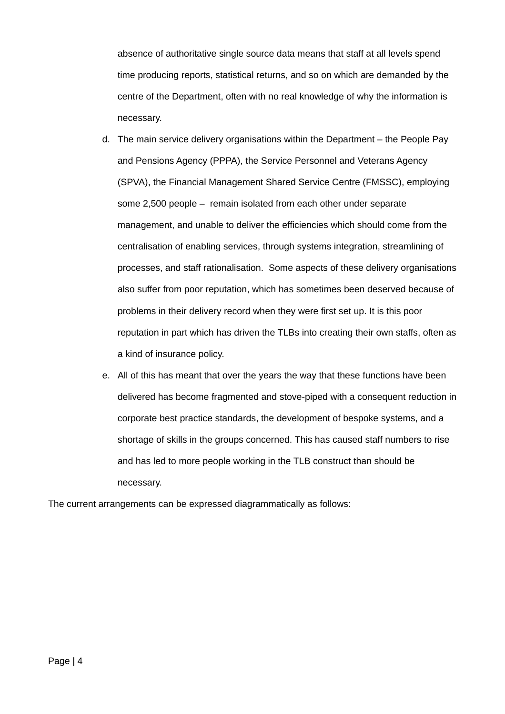absence of authoritative single source data means that staff at all levels spend time producing reports, statistical returns, and so on which are demanded by the centre of the Department, often with no real knowledge of why the information is necessary.

- d. The main service delivery organisations within the Department the People Pay and Pensions Agency (PPPA), the Service Personnel and Veterans Agency (SPVA), the Financial Management Shared Service Centre (FMSSC), employing some 2,500 people – remain isolated from each other under separate management, and unable to deliver the efficiencies which should come from the centralisation of enabling services, through systems integration, streamlining of processes, and staff rationalisation. Some aspects of these delivery organisations also suffer from poor reputation, which has sometimes been deserved because of problems in their delivery record when they were first set up. It is this poor reputation in part which has driven the TLBs into creating their own staffs, often as a kind of insurance policy.
- e. All of this has meant that over the years the way that these functions have been delivered has become fragmented and stove-piped with a consequent reduction in corporate best practice standards, the development of bespoke systems, and a shortage of skills in the groups concerned. This has caused staff numbers to rise and has led to more people working in the TLB construct than should be necessary.

The current arrangements can be expressed diagrammatically as follows: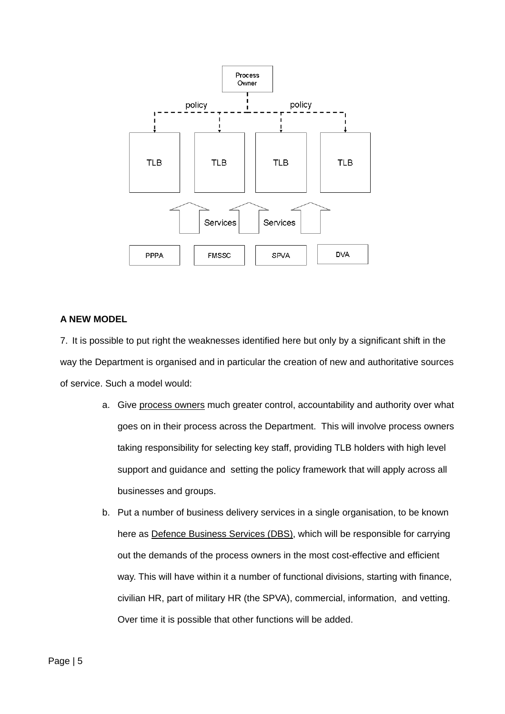

#### **A NEW MODEL**

7. It is possible to put right the weaknesses identified here but only by a significant shift in the way the Department is organised and in particular the creation of new and authoritative sources of service. Such a model would:

- a. Give process owners much greater control, accountability and authority over what goes on in their process across the Department. This will involve process owners taking responsibility for selecting key staff, providing TLB holders with high level support and guidance and setting the policy framework that will apply across all businesses and groups.
- b. Put a number of business delivery services in a single organisation, to be known here as Defence Business Services (DBS), which will be responsible for carrying out the demands of the process owners in the most cost-effective and efficient way. This will have within it a number of functional divisions, starting with finance, civilian HR, part of military HR (the SPVA), commercial, information, and vetting. Over time it is possible that other functions will be added.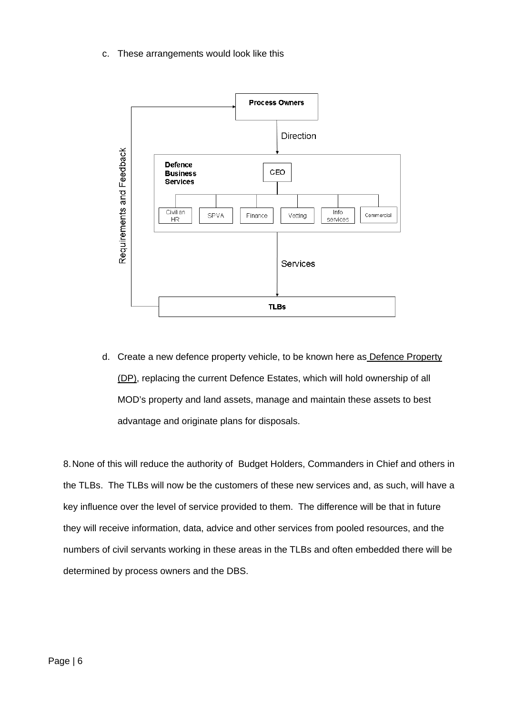c. These arrangements would look like this



d. Create a new defence property vehicle, to be known here as Defence Property (DP), replacing the current Defence Estates, which will hold ownership of all MOD's property and land assets, manage and maintain these assets to best advantage and originate plans for disposals.

8. None of this will reduce the authority of Budget Holders, Commanders in Chief and others in the TLBs. The TLBs will now be the customers of these new services and, as such, will have a key influence over the level of service provided to them. The difference will be that in future they will receive information, data, advice and other services from pooled resources, and the numbers of civil servants working in these areas in the TLBs and often embedded there will be determined by process owners and the DBS.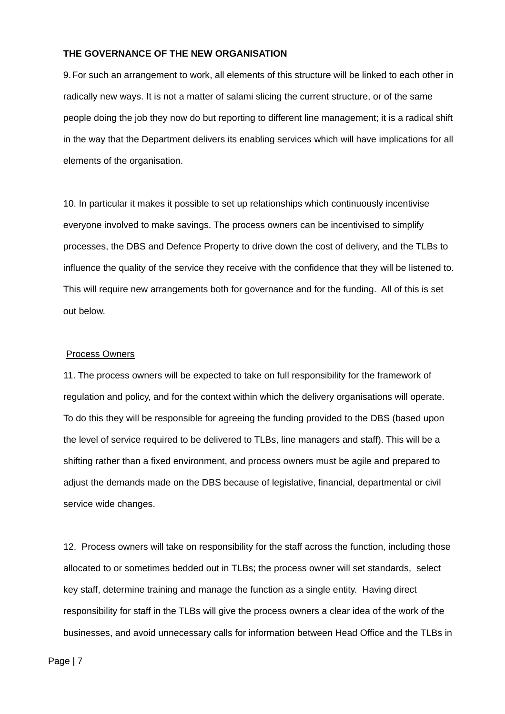## **THE GOVERNANCE OF THE NEW ORGANISATION**

9. For such an arrangement to work, all elements of this structure will be linked to each other in radically new ways. It is not a matter of salami slicing the current structure, or of the same people doing the job they now do but reporting to different line management; it is a radical shift in the way that the Department delivers its enabling services which will have implications for all elements of the organisation.

10. In particular it makes it possible to set up relationships which continuously incentivise everyone involved to make savings. The process owners can be incentivised to simplify processes, the DBS and Defence Property to drive down the cost of delivery, and the TLBs to influence the quality of the service they receive with the confidence that they will be listened to. This will require new arrangements both for governance and for the funding. All of this is set out below.

#### Process Owners

11. The process owners will be expected to take on full responsibility for the framework of regulation and policy, and for the context within which the delivery organisations will operate. To do this they will be responsible for agreeing the funding provided to the DBS (based upon the level of service required to be delivered to TLBs, line managers and staff). This will be a shifting rather than a fixed environment, and process owners must be agile and prepared to adjust the demands made on the DBS because of legislative, financial, departmental or civil service wide changes.

12. Process owners will take on responsibility for the staff across the function, including those allocated to or sometimes bedded out in TLBs; the process owner will set standards, select key staff, determine training and manage the function as a single entity. Having direct responsibility for staff in the TLBs will give the process owners a clear idea of the work of the businesses, and avoid unnecessary calls for information between Head Office and the TLBs in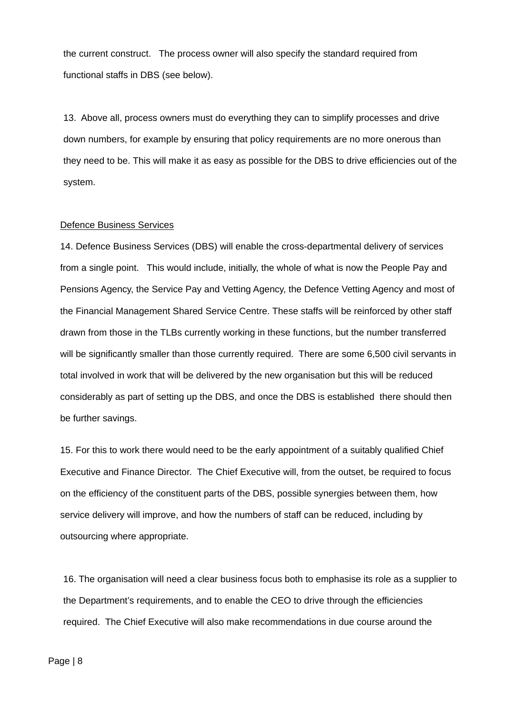the current construct. The process owner will also specify the standard required from functional staffs in DBS (see below).

13. Above all, process owners must do everything they can to simplify processes and drive down numbers, for example by ensuring that policy requirements are no more onerous than they need to be. This will make it as easy as possible for the DBS to drive efficiencies out of the system.

#### Defence Business Services

14. Defence Business Services (DBS) will enable the cross-departmental delivery of services from a single point. This would include, initially, the whole of what is now the People Pay and Pensions Agency, the Service Pay and Vetting Agency, the Defence Vetting Agency and most of the Financial Management Shared Service Centre. These staffs will be reinforced by other staff drawn from those in the TLBs currently working in these functions, but the number transferred will be significantly smaller than those currently required. There are some 6,500 civil servants in total involved in work that will be delivered by the new organisation but this will be reduced considerably as part of setting up the DBS, and once the DBS is established there should then be further savings.

15. For this to work there would need to be the early appointment of a suitably qualified Chief Executive and Finance Director. The Chief Executive will, from the outset, be required to focus on the efficiency of the constituent parts of the DBS, possible synergies between them, how service delivery will improve, and how the numbers of staff can be reduced, including by outsourcing where appropriate.

16. The organisation will need a clear business focus both to emphasise its role as a supplier to the Department's requirements, and to enable the CEO to drive through the efficiencies required. The Chief Executive will also make recommendations in due course around the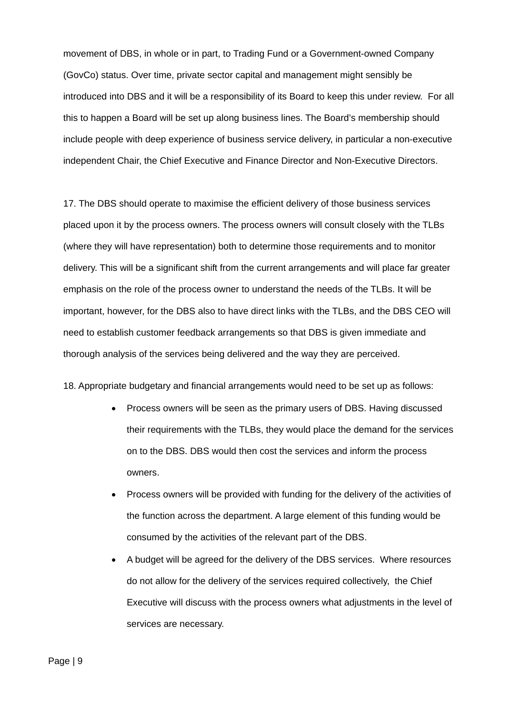movement of DBS, in whole or in part, to Trading Fund or a Government-owned Company (GovCo) status. Over time, private sector capital and management might sensibly be introduced into DBS and it will be a responsibility of its Board to keep this under review. For all this to happen a Board will be set up along business lines. The Board's membership should include people with deep experience of business service delivery, in particular a non-executive independent Chair, the Chief Executive and Finance Director and Non-Executive Directors.

17. The DBS should operate to maximise the efficient delivery of those business services placed upon it by the process owners. The process owners will consult closely with the TLBs (where they will have representation) both to determine those requirements and to monitor delivery. This will be a significant shift from the current arrangements and will place far greater emphasis on the role of the process owner to understand the needs of the TLBs. It will be important, however, for the DBS also to have direct links with the TLBs, and the DBS CEO will need to establish customer feedback arrangements so that DBS is given immediate and thorough analysis of the services being delivered and the way they are perceived.

18. Appropriate budgetary and financial arrangements would need to be set up as follows:

- Process owners will be seen as the primary users of DBS. Having discussed their requirements with the TLBs, they would place the demand for the services on to the DBS. DBS would then cost the services and inform the process owners.
- Process owners will be provided with funding for the delivery of the activities of the function across the department. A large element of this funding would be consumed by the activities of the relevant part of the DBS.
- A budget will be agreed for the delivery of the DBS services. Where resources do not allow for the delivery of the services required collectively, the Chief Executive will discuss with the process owners what adjustments in the level of services are necessary.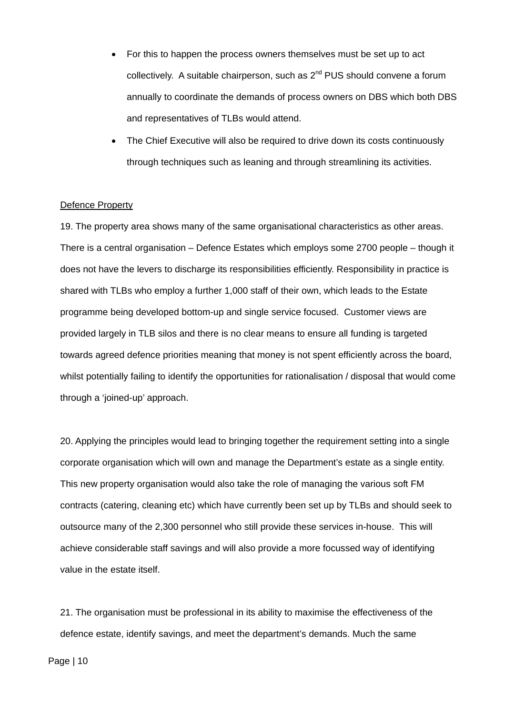- For this to happen the process owners themselves must be set up to act collectively. A suitable chairperson, such as  $2^{nd}$  PUS should convene a forum annually to coordinate the demands of process owners on DBS which both DBS and representatives of TLBs would attend.
- The Chief Executive will also be required to drive down its costs continuously through techniques such as leaning and through streamlining its activities.

#### Defence Property

19. The property area shows many of the same organisational characteristics as other areas. There is a central organisation – Defence Estates which employs some 2700 people – though it does not have the levers to discharge its responsibilities efficiently. Responsibility in practice is shared with TLBs who employ a further 1,000 staff of their own, which leads to the Estate programme being developed bottom-up and single service focused. Customer views are provided largely in TLB silos and there is no clear means to ensure all funding is targeted towards agreed defence priorities meaning that money is not spent efficiently across the board, whilst potentially failing to identify the opportunities for rationalisation / disposal that would come through a 'joined-up' approach.

20. Applying the principles would lead to bringing together the requirement setting into a single corporate organisation which will own and manage the Department's estate as a single entity. This new property organisation would also take the role of managing the various soft FM contracts (catering, cleaning etc) which have currently been set up by TLBs and should seek to outsource many of the 2,300 personnel who still provide these services in-house. This will achieve considerable staff savings and will also provide a more focussed way of identifying value in the estate itself.

21. The organisation must be professional in its ability to maximise the effectiveness of the defence estate, identify savings, and meet the department's demands. Much the same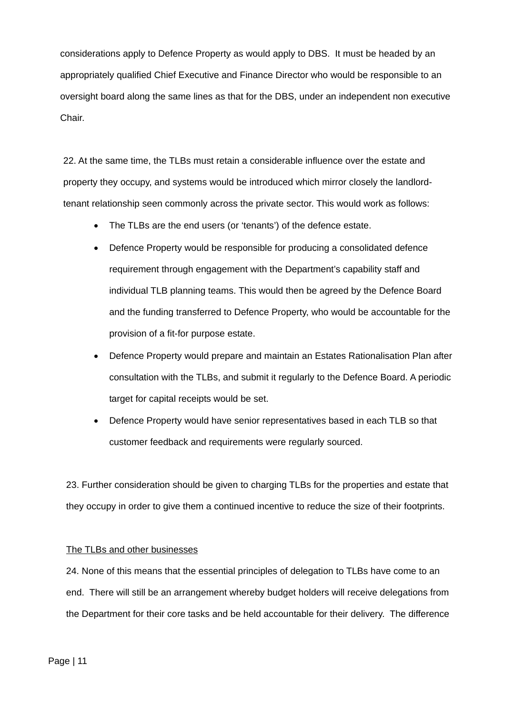considerations apply to Defence Property as would apply to DBS. It must be headed by an appropriately qualified Chief Executive and Finance Director who would be responsible to an oversight board along the same lines as that for the DBS, under an independent non executive Chair.

22. At the same time, the TLBs must retain a considerable influence over the estate and property they occupy, and systems would be introduced which mirror closely the landlordtenant relationship seen commonly across the private sector. This would work as follows:

- The TLBs are the end users (or 'tenants') of the defence estate.
- Defence Property would be responsible for producing a consolidated defence requirement through engagement with the Department's capability staff and individual TLB planning teams. This would then be agreed by the Defence Board and the funding transferred to Defence Property, who would be accountable for the provision of a fit-for purpose estate.
- Defence Property would prepare and maintain an Estates Rationalisation Plan after consultation with the TLBs, and submit it regularly to the Defence Board. A periodic target for capital receipts would be set.
- Defence Property would have senior representatives based in each TLB so that customer feedback and requirements were regularly sourced.

23. Further consideration should be given to charging TLBs for the properties and estate that they occupy in order to give them a continued incentive to reduce the size of their footprints.

## The TLBs and other businesses

24. None of this means that the essential principles of delegation to TLBs have come to an end. There will still be an arrangement whereby budget holders will receive delegations from the Department for their core tasks and be held accountable for their delivery. The difference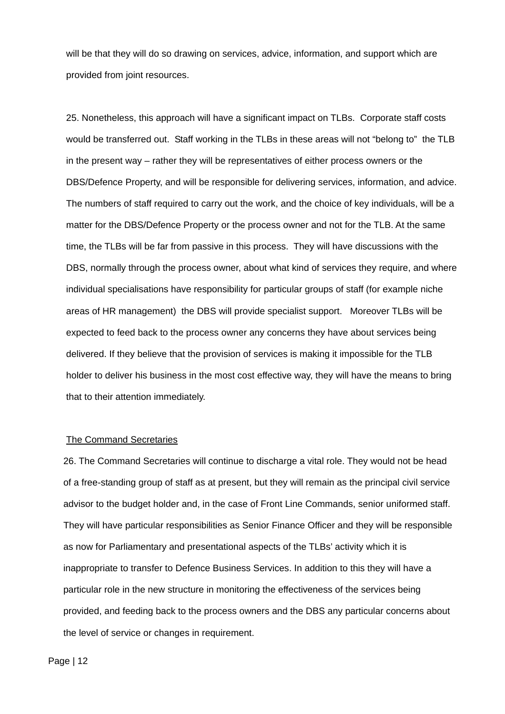will be that they will do so drawing on services, advice, information, and support which are provided from joint resources.

25. Nonetheless, this approach will have a significant impact on TLBs. Corporate staff costs would be transferred out. Staff working in the TLBs in these areas will not "belong to" the TLB in the present way – rather they will be representatives of either process owners or the DBS/Defence Property, and will be responsible for delivering services, information, and advice. The numbers of staff required to carry out the work, and the choice of key individuals, will be a matter for the DBS/Defence Property or the process owner and not for the TLB. At the same time, the TLBs will be far from passive in this process. They will have discussions with the DBS, normally through the process owner, about what kind of services they require, and where individual specialisations have responsibility for particular groups of staff (for example niche areas of HR management) the DBS will provide specialist support. Moreover TLBs will be expected to feed back to the process owner any concerns they have about services being delivered. If they believe that the provision of services is making it impossible for the TLB holder to deliver his business in the most cost effective way, they will have the means to bring that to their attention immediately.

#### The Command Secretaries

26. The Command Secretaries will continue to discharge a vital role. They would not be head of a free-standing group of staff as at present, but they will remain as the principal civil service advisor to the budget holder and, in the case of Front Line Commands, senior uniformed staff. They will have particular responsibilities as Senior Finance Officer and they will be responsible as now for Parliamentary and presentational aspects of the TLBs' activity which it is inappropriate to transfer to Defence Business Services. In addition to this they will have a particular role in the new structure in monitoring the effectiveness of the services being provided, and feeding back to the process owners and the DBS any particular concerns about the level of service or changes in requirement.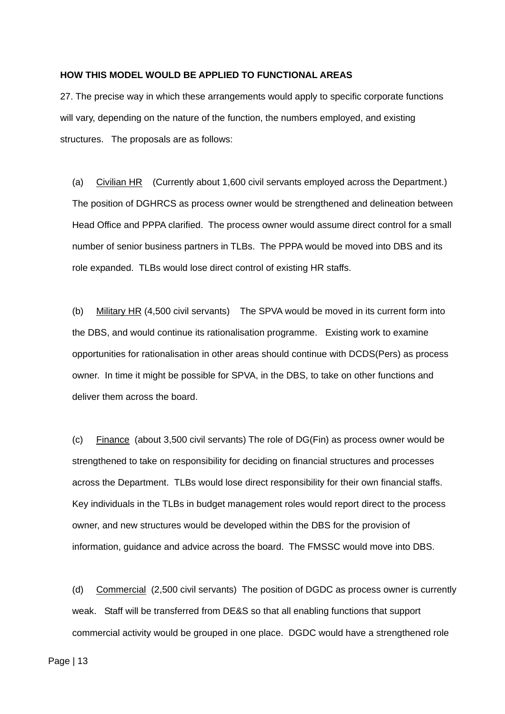#### **HOW THIS MODEL WOULD BE APPLIED TO FUNCTIONAL AREAS**

27. The precise way in which these arrangements would apply to specific corporate functions will vary, depending on the nature of the function, the numbers employed, and existing structures. The proposals are as follows:

(a) Civilian HR (Currently about 1,600 civil servants employed across the Department.) The position of DGHRCS as process owner would be strengthened and delineation between Head Office and PPPA clarified. The process owner would assume direct control for a small number of senior business partners in TLBs. The PPPA would be moved into DBS and its role expanded. TLBs would lose direct control of existing HR staffs.

(b) Military HR (4,500 civil servants) The SPVA would be moved in its current form into the DBS, and would continue its rationalisation programme. Existing work to examine opportunities for rationalisation in other areas should continue with DCDS(Pers) as process owner. In time it might be possible for SPVA, in the DBS, to take on other functions and deliver them across the board.

(c) Finance (about 3,500 civil servants) The role of DG(Fin) as process owner would be strengthened to take on responsibility for deciding on financial structures and processes across the Department. TLBs would lose direct responsibility for their own financial staffs. Key individuals in the TLBs in budget management roles would report direct to the process owner, and new structures would be developed within the DBS for the provision of information, guidance and advice across the board. The FMSSC would move into DBS.

(d) Commercial (2,500 civil servants) The position of DGDC as process owner is currently weak. Staff will be transferred from DE&S so that all enabling functions that support commercial activity would be grouped in one place. DGDC would have a strengthened role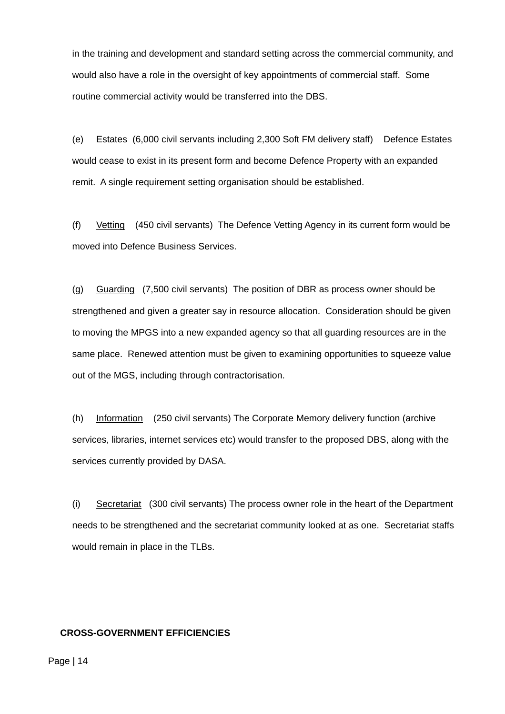in the training and development and standard setting across the commercial community, and would also have a role in the oversight of key appointments of commercial staff. Some routine commercial activity would be transferred into the DBS.

(e) Estates (6,000 civil servants including 2,300 Soft FM delivery staff) Defence Estates would cease to exist in its present form and become Defence Property with an expanded remit. A single requirement setting organisation should be established.

(f) Vetting (450 civil servants) The Defence Vetting Agency in its current form would be moved into Defence Business Services.

(g) Guarding (7,500 civil servants) The position of DBR as process owner should be strengthened and given a greater say in resource allocation. Consideration should be given to moving the MPGS into a new expanded agency so that all guarding resources are in the same place. Renewed attention must be given to examining opportunities to squeeze value out of the MGS, including through contractorisation.

(h) Information (250 civil servants) The Corporate Memory delivery function (archive services, libraries, internet services etc) would transfer to the proposed DBS, along with the services currently provided by DASA.

(i) Secretariat (300 civil servants) The process owner role in the heart of the Department needs to be strengthened and the secretariat community looked at as one. Secretariat staffs would remain in place in the TLBs.

#### **CROSS-GOVERNMENT EFFICIENCIES**

Page | 14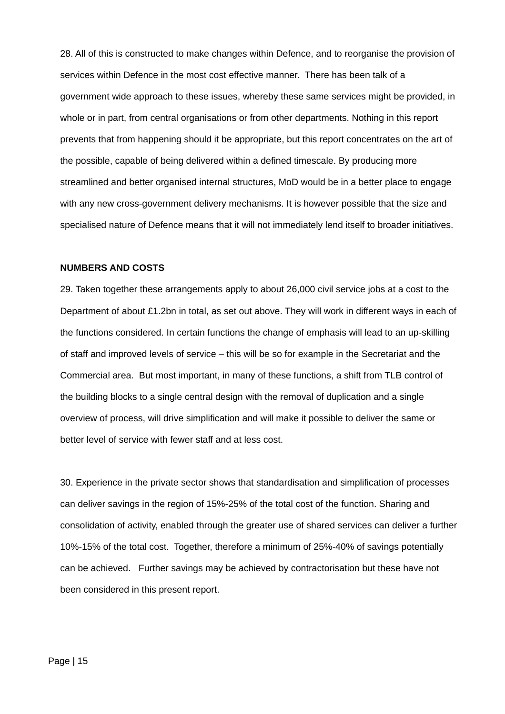28. All of this is constructed to make changes within Defence, and to reorganise the provision of services within Defence in the most cost effective manner. There has been talk of a government wide approach to these issues, whereby these same services might be provided, in whole or in part, from central organisations or from other departments. Nothing in this report prevents that from happening should it be appropriate, but this report concentrates on the art of the possible, capable of being delivered within a defined timescale. By producing more streamlined and better organised internal structures, MoD would be in a better place to engage with any new cross-government delivery mechanisms. It is however possible that the size and specialised nature of Defence means that it will not immediately lend itself to broader initiatives.

#### **NUMBERS AND COSTS**

29. Taken together these arrangements apply to about 26,000 civil service jobs at a cost to the Department of about £1.2bn in total, as set out above. They will work in different ways in each of the functions considered. In certain functions the change of emphasis will lead to an up-skilling of staff and improved levels of service – this will be so for example in the Secretariat and the Commercial area. But most important, in many of these functions, a shift from TLB control of the building blocks to a single central design with the removal of duplication and a single overview of process, will drive simplification and will make it possible to deliver the same or better level of service with fewer staff and at less cost.

30. Experience in the private sector shows that standardisation and simplification of processes can deliver savings in the region of 15%-25% of the total cost of the function. Sharing and consolidation of activity, enabled through the greater use of shared services can deliver a further 10%-15% of the total cost. Together, therefore a minimum of 25%-40% of savings potentially can be achieved. Further savings may be achieved by contractorisation but these have not been considered in this present report.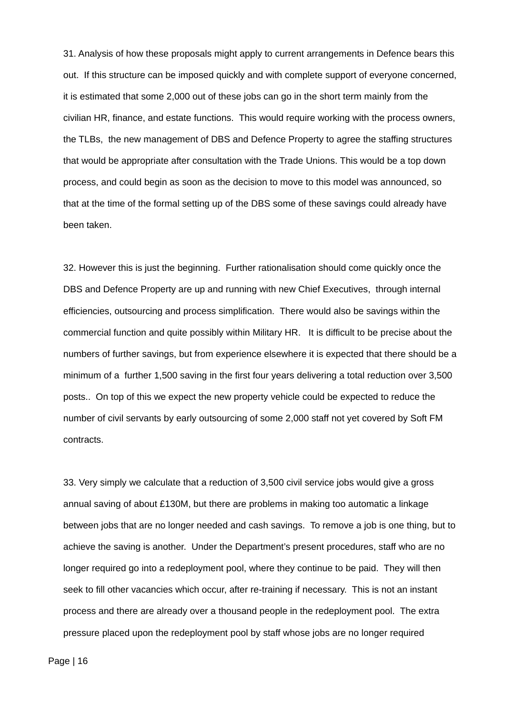31. Analysis of how these proposals might apply to current arrangements in Defence bears this out. If this structure can be imposed quickly and with complete support of everyone concerned, it is estimated that some 2,000 out of these jobs can go in the short term mainly from the civilian HR, finance, and estate functions. This would require working with the process owners, the TLBs, the new management of DBS and Defence Property to agree the staffing structures that would be appropriate after consultation with the Trade Unions. This would be a top down process, and could begin as soon as the decision to move to this model was announced, so that at the time of the formal setting up of the DBS some of these savings could already have been taken.

32. However this is just the beginning. Further rationalisation should come quickly once the DBS and Defence Property are up and running with new Chief Executives, through internal efficiencies, outsourcing and process simplification. There would also be savings within the commercial function and quite possibly within Military HR. It is difficult to be precise about the numbers of further savings, but from experience elsewhere it is expected that there should be a minimum of a further 1,500 saving in the first four years delivering a total reduction over 3,500 posts.. On top of this we expect the new property vehicle could be expected to reduce the number of civil servants by early outsourcing of some 2,000 staff not yet covered by Soft FM contracts.

33. Very simply we calculate that a reduction of 3,500 civil service jobs would give a gross annual saving of about £130M, but there are problems in making too automatic a linkage between jobs that are no longer needed and cash savings. To remove a job is one thing, but to achieve the saving is another. Under the Department's present procedures, staff who are no longer required go into a redeployment pool, where they continue to be paid. They will then seek to fill other vacancies which occur, after re-training if necessary. This is not an instant process and there are already over a thousand people in the redeployment pool. The extra pressure placed upon the redeployment pool by staff whose jobs are no longer required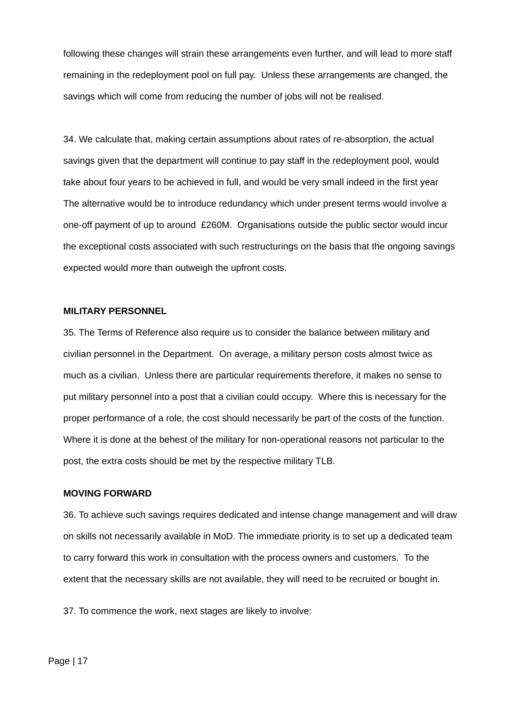following these changes will strain these arrangements even further, and will lead to more staff remaining in the redeployment pool on full pay. Unless these arrangements are changed, the savings which will come from reducing the number of jobs will not be realised.

34. We calculate that, making certain assumptions about rates of re-absorption, the actual savings given that the department will continue to pay staff in the redeployment pool, would take about four years to be achieved in full, and would be very small indeed in the first year The alternative would be to introduce redundancy which under present terms would involve a one-off payment of up to around £260M. Organisations outside the public sector would incur the exceptional costs associated with such restructurings on the basis that the ongoing savings expected would more than outweigh the upfront costs.

## **MILITARY PERSONNEL**

35. The Terms of Reference also require us to consider the balance between military and civilian personnel in the Department. On average, a military person costs almost twice as much as a civilian. Unless there are particular requirements therefore, it makes no sense to put military personnel into a post that a civilian could occupy. Where this is necessary for the proper performance of a role, the cost should necessarily be part of the costs of the function. Where it is done at the behest of the military for non-operational reasons not particular to the post, the extra costs should be met by the respective military TLB.

#### **MOVING FORWARD**

36. To achieve such savings requires dedicated and intense change management and will draw on skills not necessarily available in MoD. The immediate priority is to set up a dedicated team to carry forward this work in consultation with the process owners and customers. To the extent that the necessary skills are not available, they will need to be recruited or bought in.

37. To commence the work, next stages are likely to involve: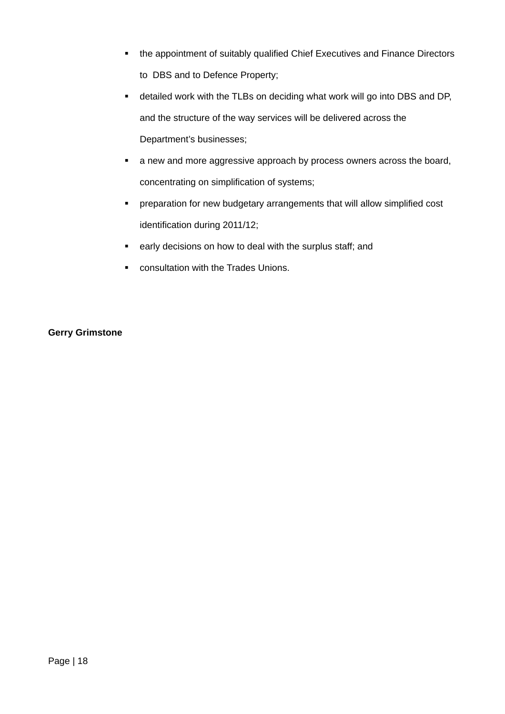- the appointment of suitably qualified Chief Executives and Finance Directors to DBS and to Defence Property;
- detailed work with the TLBs on deciding what work will go into DBS and DP, and the structure of the way services will be delivered across the Department's businesses;
- **a** new and more aggressive approach by process owners across the board, concentrating on simplification of systems;
- preparation for new budgetary arrangements that will allow simplified cost identification during 2011/12;
- **EXECT:** early decisions on how to deal with the surplus staff; and
- **EXECONSUMEDIATION CONSULTED** CONSULTATION With the Trades Unions.

## **Gerry Grimstone**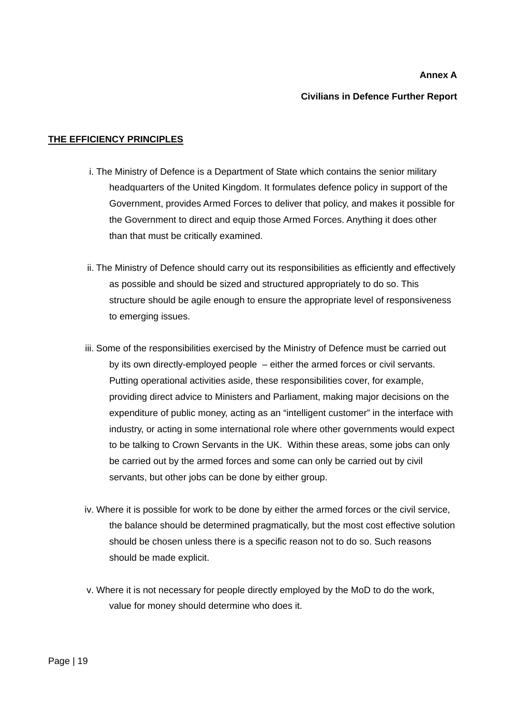## **Annex A**

#### **Civilians in Defence Further Report**

## **THE EFFICIENCY PRINCIPLES**

- i. The Ministry of Defence is a Department of State which contains the senior military headquarters of the United Kingdom. It formulates defence policy in support of the Government, provides Armed Forces to deliver that policy, and makes it possible for the Government to direct and equip those Armed Forces. Anything it does other than that must be critically examined.
- ii. The Ministry of Defence should carry out its responsibilities as efficiently and effectively as possible and should be sized and structured appropriately to do so. This structure should be agile enough to ensure the appropriate level of responsiveness to emerging issues.
- iii. Some of the responsibilities exercised by the Ministry of Defence must be carried out by its own directly-employed people – either the armed forces or civil servants. Putting operational activities aside, these responsibilities cover, for example, providing direct advice to Ministers and Parliament, making major decisions on the expenditure of public money, acting as an "intelligent customer" in the interface with industry, or acting in some international role where other governments would expect to be talking to Crown Servants in the UK. Within these areas, some jobs can only be carried out by the armed forces and some can only be carried out by civil servants, but other jobs can be done by either group.
- iv. Where it is possible for work to be done by either the armed forces or the civil service, the balance should be determined pragmatically, but the most cost effective solution should be chosen unless there is a specific reason not to do so. Such reasons should be made explicit.
- v. Where it is not necessary for people directly employed by the MoD to do the work, value for money should determine who does it.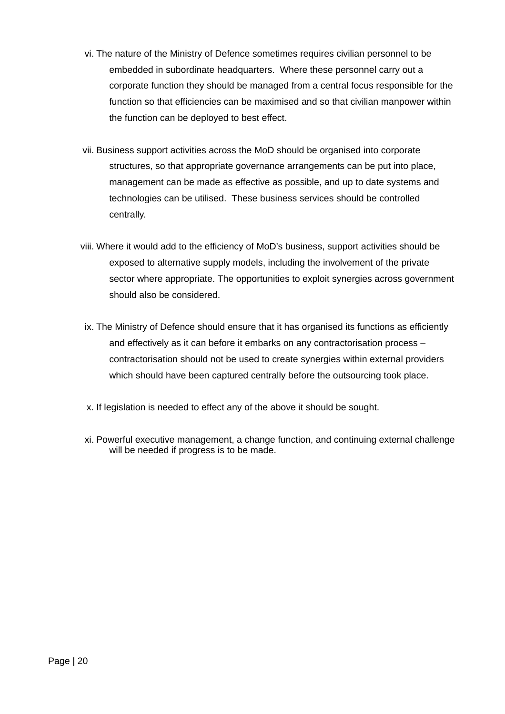- vi. The nature of the Ministry of Defence sometimes requires civilian personnel to be embedded in subordinate headquarters. Where these personnel carry out a corporate function they should be managed from a central focus responsible for the function so that efficiencies can be maximised and so that civilian manpower within the function can be deployed to best effect.
- vii. Business support activities across the MoD should be organised into corporate structures, so that appropriate governance arrangements can be put into place, management can be made as effective as possible, and up to date systems and technologies can be utilised. These business services should be controlled centrally.
- viii. Where it would add to the efficiency of MoD's business, support activities should be exposed to alternative supply models, including the involvement of the private sector where appropriate. The opportunities to exploit synergies across government should also be considered.
- ix. The Ministry of Defence should ensure that it has organised its functions as efficiently and effectively as it can before it embarks on any contractorisation process – contractorisation should not be used to create synergies within external providers which should have been captured centrally before the outsourcing took place.
- x. If legislation is needed to effect any of the above it should be sought.
- xi. Powerful executive management, a change function, and continuing external challenge will be needed if progress is to be made.